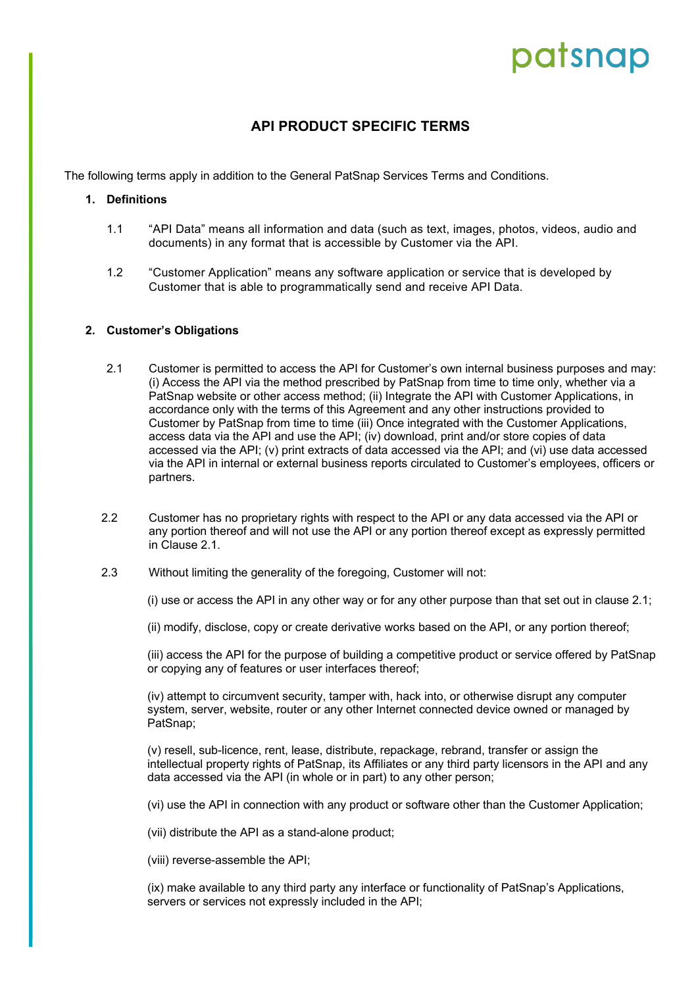# patsnap

### **API PRODUCT SPECIFIC TERMS**

The following terms apply in addition to the General PatSnap Services Terms and Conditions.

#### **1. Definitions**

- 1.1 "API Data" means all information and data (such as text, images, photos, videos, audio and documents) in any format that is accessible by Customer via the API.
- 1.2 "Customer Application" means any software application or service that is developed by Customer that is able to programmatically send and receive API Data.

#### **2. Customer's Obligations**

- 2.1 Customer is permitted to access the API for Customer's own internal business purposes and may: (i) Access the API via the method prescribed by PatSnap from time to time only, whether via a PatSnap website or other access method; (ii) Integrate the API with Customer Applications, in accordance only with the terms of this Agreement and any other instructions provided to Customer by PatSnap from time to time (iii) Once integrated with the Customer Applications, access data via the API and use the API; (iv) download, print and/or store copies of data accessed via the API; (v) print extracts of data accessed via the API; and (vi) use data accessed via the API in internal or external business reports circulated to Customer's employees, officers or partners.
- 2.2 Customer has no proprietary rights with respect to the API or any data accessed via the API or any portion thereof and will not use the API or any portion thereof except as expressly permitted in Clause 2.1.
- 2.3 Without limiting the generality of the foregoing, Customer will not:

(i) use or access the API in any other way or for any other purpose than that set out in clause 2.1;

(ii) modify, disclose, copy or create derivative works based on the API, or any portion thereof;

(iii) access the API for the purpose of building a competitive product or service offered by PatSnap or copying any of features or user interfaces thereof;

(iv) attempt to circumvent security, tamper with, hack into, or otherwise disrupt any computer system, server, website, router or any other Internet connected device owned or managed by PatSnap;

(v) resell, sub-licence, rent, lease, distribute, repackage, rebrand, transfer or assign the intellectual property rights of PatSnap, its Affiliates or any third party licensors in the API and any data accessed via the API (in whole or in part) to any other person;

(vi) use the API in connection with any product or software other than the Customer Application;

(vii) distribute the API as a stand-alone product;

(viii) reverse-assemble the API;

(ix) make available to any third party any interface or functionality of PatSnap's Applications, servers or services not expressly included in the API;